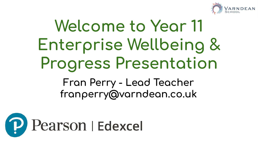

## Welcome to Year 11 Enterprise Wellbeing & **Progress Presentation** Fran Perry - Lead Teacher franperry@varndean.co.uk

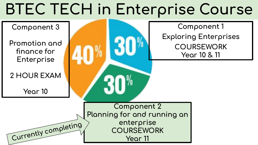# **BTEC TECH in Enterprise Course**

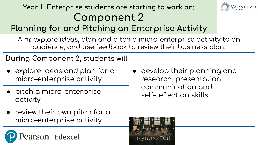#### Year 11 Enterprise students are starting to work on: **Component 2**



### Planning for and Pitching an Enterprise Activity

Aim: explore ideas, plan and pitch a micro–enterprise activity to an audience, and use feedback to review their business plan.

**During Component 2, students will** 

- $\bullet$  explore ideas and plan for a micro–enterprise activity
- pitch a micro–enterprise and the self-reflection skills. activity
- $\bullet\;$  review their own pitch for a micro–enterprise activity

earson | Edexcel

• develop their planning and research, presentation, communication and

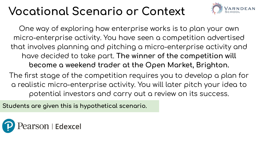## **Vocational Scenario or Context**



One way of exploring how enterprise works is to plan your own micro-enterprise activity. You have seen a competition advertised that involves planning and pitching a micro-enterprise activity and have decided to take part. The winner of the competition will become a weekend trader at the Open Market, Brighton.

The first stage of the competition requires you to develop a plan for a realistic micro-enterprise activity. You will later pitch your idea to potential investors and carry out a review on its success.

Students are given this is hypothetical scenario.

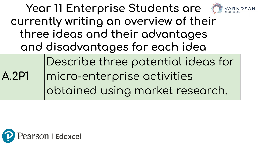|                                        | Year 11 Enterprise Students are the Marn DEAN |  |  |  |  |  |
|----------------------------------------|-----------------------------------------------|--|--|--|--|--|
| currently writing an overview of their |                                               |  |  |  |  |  |
| three ideas and their advantages       |                                               |  |  |  |  |  |
| and disadvantages for each idea        |                                               |  |  |  |  |  |
|                                        | Describe three potential ideas for            |  |  |  |  |  |
| <b>A.2P1</b>                           | micro-enterprise activities                   |  |  |  |  |  |
|                                        | obtained using market research.               |  |  |  |  |  |
|                                        |                                               |  |  |  |  |  |

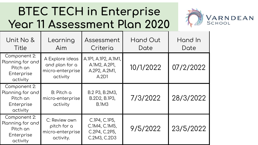### **BTEC TECH in Enterprise Year 11 Assessment Plan 2020**



| Unit No &<br>Title                                                     | Learning<br>Aim                                                   | Assessment<br>Criteria                                          | Hand Out<br>Date | Hand In<br>Date |
|------------------------------------------------------------------------|-------------------------------------------------------------------|-----------------------------------------------------------------|------------------|-----------------|
| Component 2:<br>Planning for and<br>Pitch an<br>Enterprise<br>activity | A Explore ideas<br>and plan for a<br>micro-enterprise<br>activity | A.1P1, A.1P2, A.1M1,<br>A.1M2, A.2P1,<br>A.2P2, A.2M1,<br>A.2D1 | 10/1/2022        | 07/2/2022       |
| Component 2:<br>Planning for and<br>Pitch an<br>Enterprise<br>activity | B: Pitch a<br>micro-enterprise<br>activity                        | B.2 P3, B.2M3,<br>B.2D2, B.1P3,<br><b>B.1M3</b>                 | 7/3/2022         | 28/3/2022       |
| Component 2:<br>Planning for and<br>Pitch an<br>Enterprise<br>activity | C: Review own<br>pitch for a<br>micro-enterprise<br>activity.     | C.1P4, C.1P5,<br>C.1M4, C.1M5,<br>C.2P4, C.2P5,<br>C.2M3, C.2D3 | 9/5/2022         | 23/5/2022       |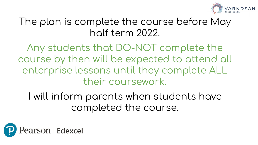

#### The plan is complete the course before May holf term 2022.

Any students that DO-NOT complete the course by then will be expected to attend all enterprise lessons until they complete ALL their coursework.

I will inform parents when students have completed the course.